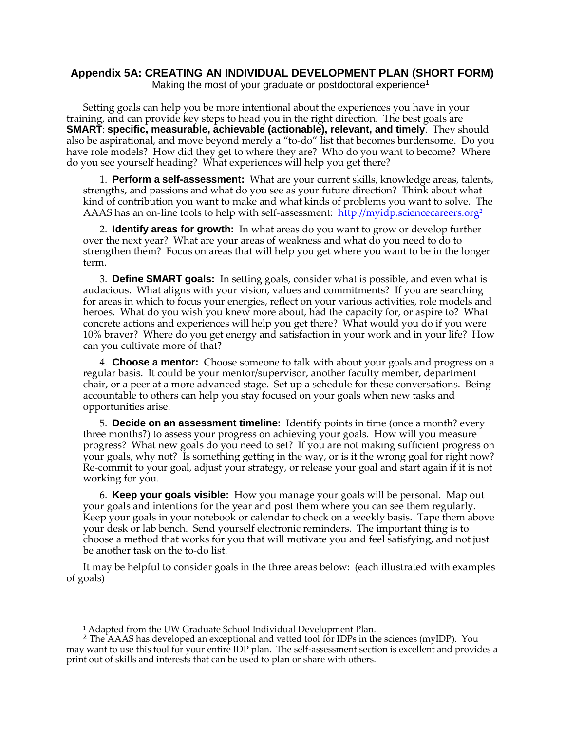## **Appendix 5A: CREATING AN INDIVIDUAL DEVELOPMENT PLAN (SHORT FORM)** Making the most of your graduate or postdoctoral experience<sup>1</sup>

Setting goals can help you be more intentional about the experiences you have in your training, and can provide key steps to head you in the right direction. The best goals are **SMART**: **specific, measurable, achievable (actionable), relevant, and timely**. They should also be aspirational, and move beyond merely a "to-do" list that becomes burdensome. Do you have role models? How did they get to where they are? Who do you want to become? Where do you see yourself heading? What experiences will help you get there?

1. **Perform a self-assessment:** What are your current skills, knowledge areas, talents, strengths, and passions and what do you see as your future direction? Think about what kind of contribution you want to make and what kinds of problems you want to solve. The AAAS has an on-line tools to help with self-assessment: [http://myidp.sciencecareers.org](http://myidp.sciencecareers.org/)<sup>2</sup>

2. **Identify areas for growth:** In what areas do you want to grow or develop further over the next year? What are your areas of weakness and what do you need to do to strengthen them? Focus on areas that will help you get where you want to be in the longer term.

3. **Define SMART goals:** In setting goals, consider what is possible, and even what is audacious. What aligns with your vision, values and commitments? If you are searching for areas in which to focus your energies, reflect on your various activities, role models and heroes. What do you wish you knew more about, had the capacity for, or aspire to? What concrete actions and experiences will help you get there? What would you do if you were 10% braver? Where do you get energy and satisfaction in your work and in your life? How can you cultivate more of that?

4. **Choose a mentor:** Choose someone to talk with about your goals and progress on a regular basis. It could be your mentor/supervisor, another faculty member, department chair, or a peer at a more advanced stage. Set up a schedule for these conversations. Being accountable to others can help you stay focused on your goals when new tasks and opportunities arise.

5. **Decide on an assessment timeline:** Identify points in time (once a month? every three months?) to assess your progress on achieving your goals. How will you measure progress? What new goals do you need to set? If you are not making sufficient progress on your goals, why not? Is something getting in the way, or is it the wrong goal for right now? Re-commit to your goal, adjust your strategy, or release your goal and start again if it is not working for you.

6. **Keep your goals visible:** How you manage your goals will be personal. Map out your goals and intentions for the year and post them where you can see them regularly. Keep your goals in your notebook or calendar to check on a weekly basis. Tape them above your desk or lab bench. Send yourself electronic reminders. The important thing is to choose a method that works for you that will motivate you and feel satisfying, and not just be another task on the to-do list.

It may be helpful to consider goals in the three areas below: (each illustrated with examples of goals)

 $\overline{a}$ 

<sup>&</sup>lt;sup>1</sup> Adapted from the UW Graduate School Individual Development Plan.

<sup>&</sup>lt;sup>2</sup> The AAAS has developed an exceptional and vetted tool for IDPs in the sciences (myIDP). You may want to use this tool for your entire IDP plan. The self-assessment section is excellent and provides a print out of skills and interests that can be used to plan or share with others.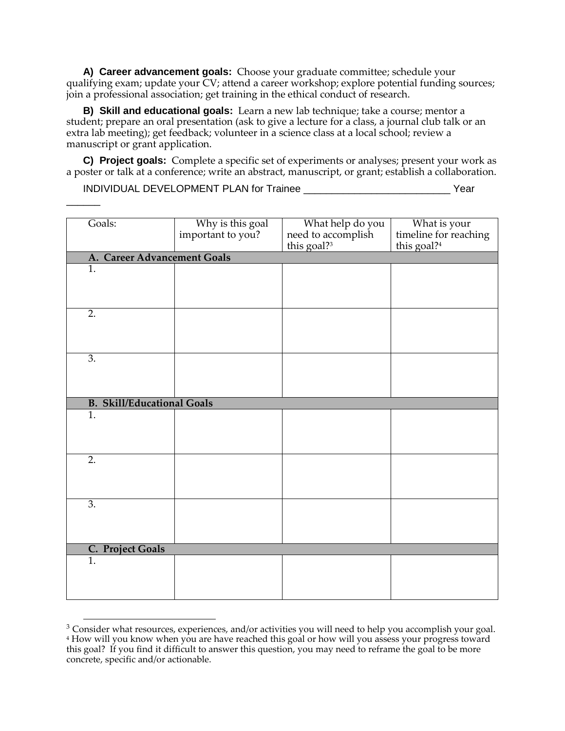**A) Career advancement goals:** Choose your graduate committee; schedule your qualifying exam; update your CV; attend a career workshop; explore potential funding sources; join a professional association; get training in the ethical conduct of research.

**B) Skill and educational goals:** Learn a new lab technique; take a course; mentor a student; prepare an oral presentation (ask to give a lecture for a class, a journal club talk or an extra lab meeting); get feedback; volunteer in a science class at a local school; review a manuscript or grant application.

**C) Project goals:** Complete a specific set of experiments or analyses; present your work as a poster or talk at a conference; write an abstract, manuscript, or grant; establish a collaboration.

INDIVIDUAL DEVELOPMENT PLAN for Trainee \_\_\_\_\_\_\_\_\_\_\_\_\_\_\_\_\_\_\_\_\_\_\_\_\_\_ Year

 $\overline{\phantom{a}}$ 

| Goals:                            | Why is this goal<br>important to you? | What help do you<br>need to accomplish<br>this goal? <sup>3</sup> | What is your<br>timeline for reaching |  |
|-----------------------------------|---------------------------------------|-------------------------------------------------------------------|---------------------------------------|--|
|                                   |                                       |                                                                   | this goal? <sup>4</sup>               |  |
| A. Career Advancement Goals       |                                       |                                                                   |                                       |  |
| $\overline{1}$ .                  |                                       |                                                                   |                                       |  |
|                                   |                                       |                                                                   |                                       |  |
|                                   |                                       |                                                                   |                                       |  |
| $\overline{2}$ .                  |                                       |                                                                   |                                       |  |
|                                   |                                       |                                                                   |                                       |  |
|                                   |                                       |                                                                   |                                       |  |
|                                   |                                       |                                                                   |                                       |  |
| 3.                                |                                       |                                                                   |                                       |  |
|                                   |                                       |                                                                   |                                       |  |
|                                   |                                       |                                                                   |                                       |  |
| <b>B. Skill/Educational Goals</b> |                                       |                                                                   |                                       |  |
| $\overline{1}$ .                  |                                       |                                                                   |                                       |  |
|                                   |                                       |                                                                   |                                       |  |
|                                   |                                       |                                                                   |                                       |  |
|                                   |                                       |                                                                   |                                       |  |
| 2.                                |                                       |                                                                   |                                       |  |
|                                   |                                       |                                                                   |                                       |  |
|                                   |                                       |                                                                   |                                       |  |
| $\overline{3}$ .                  |                                       |                                                                   |                                       |  |
|                                   |                                       |                                                                   |                                       |  |
|                                   |                                       |                                                                   |                                       |  |
|                                   |                                       |                                                                   |                                       |  |
| C. Project Goals                  |                                       |                                                                   |                                       |  |
| $\overline{1}$ .                  |                                       |                                                                   |                                       |  |
|                                   |                                       |                                                                   |                                       |  |
|                                   |                                       |                                                                   |                                       |  |

 $\overline{a}$ <sup>3</sup> Consider what resources, experiences, and/or activities you will need to help you accomplish your goal. <sup>4</sup> How will you know when you are have reached this goal or how will you assess your progress toward this goal? If you find it difficult to answer this question, you may need to reframe the goal to be more concrete, specific and/or actionable.